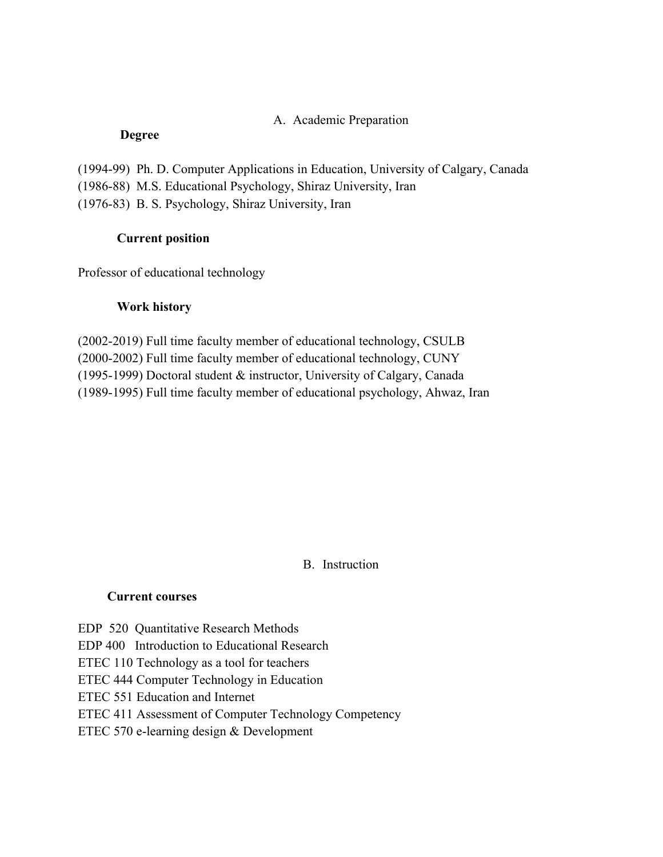## A. Academic Preparation

#### **Degree**

(1994-99) Ph. D. Computer Applications in Education, University of Calgary, Canada (1986-88) M.S. Educational Psychology, Shiraz University, Iran (1976-83) B. S. Psychology, Shiraz University, Iran

## **Current position**

Professor of educational technology

### **Work history**

(2002-2019) Full time faculty member of educational technology, CSULB (2000-2002) Full time faculty member of educational technology, CUNY (1995-1999) Doctoral student & instructor, University of Calgary, Canada (1989-1995) Full time faculty member of educational psychology, Ahwaz, Iran

# B. Instruction

#### **Current courses**

EDP 520 Quantitative Research Methods

EDP 400 Introduction to Educational Research

ETEC 110 Technology as a tool for teachers

ETEC 444 Computer Technology in Education

ETEC 551 Education and Internet

# ETEC 411 Assessment of Computer Technology Competency

ETEC 570 e-learning design & Development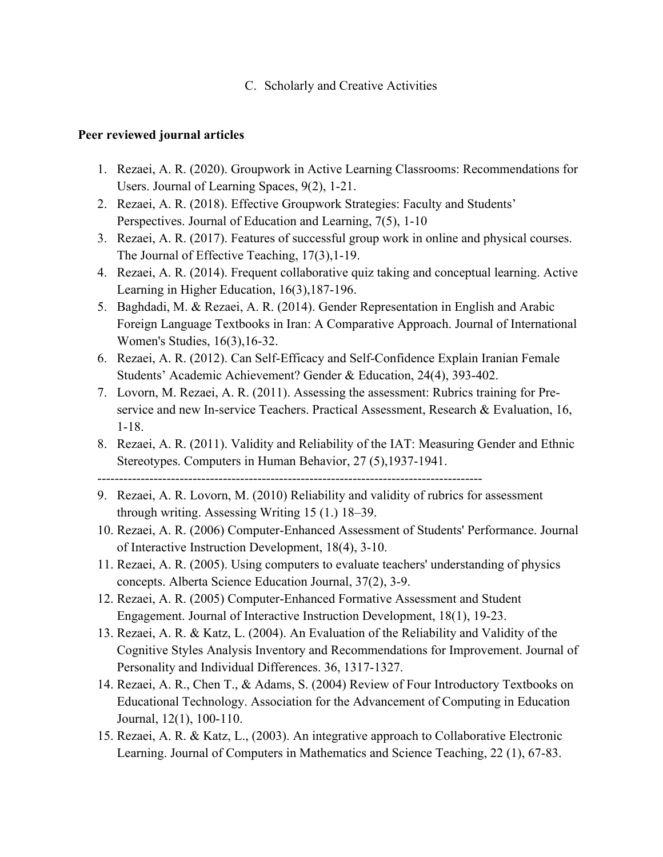C. Scholarly and Creative Activities

# **Peer reviewed journal articles**

- 1. Rezaei, A. R. (2020). Groupwork in Active Learning Classrooms: Recommendations for Users. Journal of Learning Spaces, 9(2), 1-21.
- 2. Rezaei, A. R. (2018). Effective Groupwork Strategies: Faculty and Students' Perspectives. Journal of Education and Learning, 7(5), 1-10
- 3. Rezaei, A. R. (2017). Features of successful group work in online and physical courses. The Journal of Effective Teaching, 17(3),1-19.
- 4. Rezaei, A. R. (2014). Frequent collaborative quiz taking and conceptual learning. Active Learning in Higher Education, 16(3),187-196.
- 5. Baghdadi, M. & Rezaei, A. R. (2014). Gender Representation in English and Arabic Foreign Language Textbooks in Iran: A Comparative Approach. Journal of International Women's Studies, 16(3),16-32.
- 6. Rezaei, A. R. (2012). Can Self-Efficacy and Self-Confidence Explain Iranian Female Students' Academic Achievement? Gender & Education, 24(4), 393-402.
- 7. Lovorn, M. Rezaei, A. R. (2011). Assessing the assessment: Rubrics training for Preservice and new In-service Teachers. Practical Assessment, Research & Evaluation, 16, 1-18.
- 8. Rezaei, A. R. (2011). Validity and Reliability of the IAT: Measuring Gender and Ethnic Stereotypes. Computers in Human Behavior, 27 (5),1937-1941.

-----------------------------------------------------------------------------------------

- 9. Rezaei, A. R. Lovorn, M. (2010) Reliability and validity of rubrics for assessment through writing. Assessing Writing 15 (1.) 18–39.
- 10. Rezaei, A. R. (2006) Computer-Enhanced Assessment of Students' Performance. Journal of Interactive Instruction Development, 18(4), 3-10.
- 11. Rezaei, A. R. (2005). Using computers to evaluate teachers' understanding of physics concepts. Alberta Science Education Journal, 37(2), 3-9.
- 12. Rezaei, A. R. (2005) Computer-Enhanced Formative Assessment and Student Engagement. Journal of Interactive Instruction Development, 18(1), 19-23.
- 13. Rezaei, A. R. & Katz, L. (2004). An Evaluation of the Reliability and Validity of the Cognitive Styles Analysis Inventory and Recommendations for Improvement. Journal of Personality and Individual Differences. 36, 1317-1327.
- 14. Rezaei, A. R., Chen T., & Adams, S. (2004) Review of Four Introductory Textbooks on Educational Technology. Association for the Advancement of Computing in Education Journal, 12(1), 100-110.
- 15. Rezaei, A. R. & Katz, L., (2003). An integrative approach to Collaborative Electronic Learning. Journal of Computers in Mathematics and Science Teaching, 22 (1), 67-83.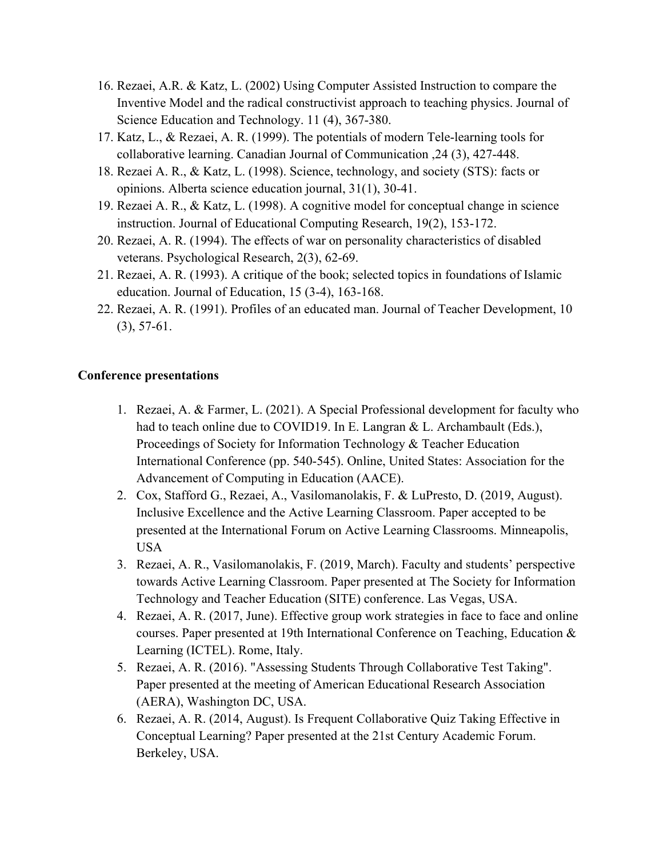- 16. Rezaei, A.R. & Katz, L. (2002) Using Computer Assisted Instruction to compare the Inventive Model and the radical constructivist approach to teaching physics. Journal of Science Education and Technology. 11 (4), 367-380.
- 17. Katz, L., & Rezaei, A. R. (1999). The potentials of modern Tele-learning tools for collaborative learning. Canadian Journal of Communication ,24 (3), 427-448.
- 18. Rezaei A. R., & Katz, L. (1998). Science, technology, and society (STS): facts or opinions. Alberta science education journal, 31(1), 30-41.
- 19. Rezaei A. R., & Katz, L. (1998). A cognitive model for conceptual change in science instruction. Journal of Educational Computing Research, 19(2), 153-172.
- 20. Rezaei, A. R. (1994). The effects of war on personality characteristics of disabled veterans. Psychological Research, 2(3), 62-69.
- 21. Rezaei, A. R. (1993). A critique of the book; selected topics in foundations of Islamic education. Journal of Education, 15 (3-4), 163-168.
- 22. Rezaei, A. R. (1991). Profiles of an educated man. Journal of Teacher Development, 10 (3), 57-61.

## **Conference presentations**

- 1. Rezaei, A. & Farmer, L. (2021). A Special Professional development for faculty who had to teach online due to COVID19. In E. Langran & L. Archambault (Eds.), Proceedings of Society for Information Technology & Teacher Education International Conference (pp. 540-545). Online, United States: Association for the Advancement of Computing in Education (AACE).
- 2. Cox, Stafford G., Rezaei, A., Vasilomanolakis, F. & LuPresto, D. (2019, August). Inclusive Excellence and the Active Learning Classroom. Paper accepted to be presented at the International Forum on Active Learning Classrooms. Minneapolis, USA
- 3. Rezaei, A. R., Vasilomanolakis, F. (2019, March). Faculty and students' perspective towards Active Learning Classroom. Paper presented at The Society for Information Technology and Teacher Education (SITE) conference. Las Vegas, USA.
- 4. Rezaei, A. R. (2017, June). Effective group work strategies in face to face and online courses. Paper presented at 19th International Conference on Teaching, Education & Learning (ICTEL). Rome, Italy.
- 5. Rezaei, A. R. (2016). "Assessing Students Through Collaborative Test Taking". Paper presented at the meeting of American Educational Research Association (AERA), Washington DC, USA.
- 6. Rezaei, A. R. (2014, August). Is Frequent Collaborative Quiz Taking Effective in Conceptual Learning? Paper presented at the 21st Century Academic Forum. Berkeley, USA.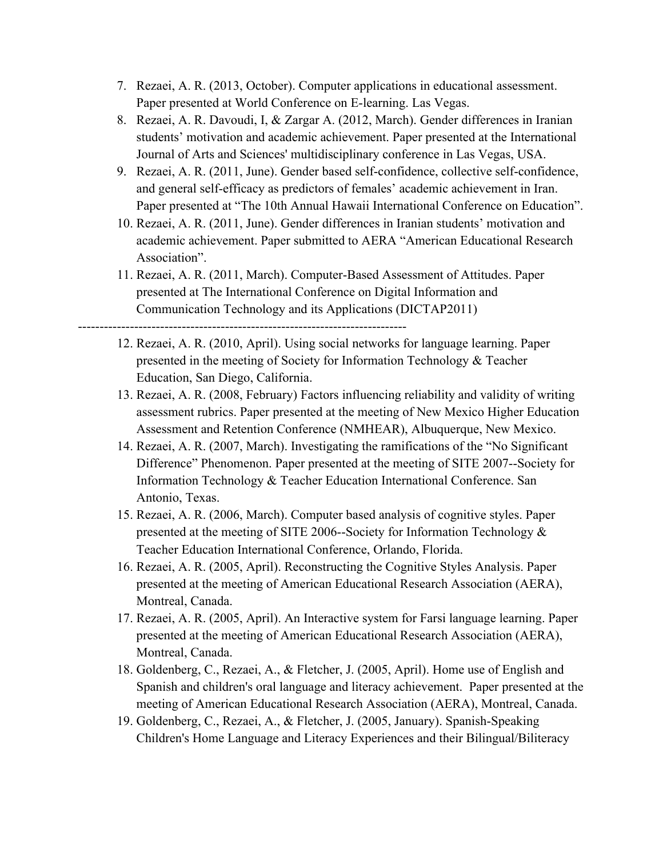- 7. Rezaei, A. R. (2013, October). Computer applications in educational assessment. Paper presented at World Conference on E-learning. Las Vegas.
- 8. Rezaei, A. R. Davoudi, I, & Zargar A. (2012, March). Gender differences in Iranian students' motivation and academic achievement. Paper presented at the International Journal of Arts and Sciences' multidisciplinary conference in Las Vegas, USA.
- 9. Rezaei, A. R. (2011, June). Gender based self-confidence, collective self-confidence, and general self-efficacy as predictors of females' academic achievement in Iran. Paper presented at "The 10th Annual Hawaii International Conference on Education".
- 10. Rezaei, A. R. (2011, June). Gender differences in Iranian students' motivation and academic achievement. Paper submitted to AERA "American Educational Research Association".
- 11. Rezaei, A. R. (2011, March). Computer-Based Assessment of Attitudes. Paper presented at The International Conference on Digital Information and Communication Technology and its Applications (DICTAP2011)

----------------------------------------------------------------------------

- 12. Rezaei, A. R. (2010, April). Using social networks for language learning. Paper presented in the meeting of Society for Information Technology & Teacher Education, San Diego, California.
- 13. Rezaei, A. R. (2008, February) Factors influencing reliability and validity of writing assessment rubrics. Paper presented at the meeting of New Mexico Higher Education Assessment and Retention Conference (NMHEAR), Albuquerque, New Mexico.
- 14. Rezaei, A. R. (2007, March). Investigating the ramifications of the "No Significant Difference" Phenomenon. Paper presented at the meeting of SITE 2007--Society for Information Technology & Teacher Education International Conference. San Antonio, Texas.
- 15. Rezaei, A. R. (2006, March). Computer based analysis of cognitive styles. Paper presented at the meeting of SITE 2006--Society for Information Technology & Teacher Education International Conference, Orlando, Florida.
- 16. Rezaei, A. R. (2005, April). Reconstructing the Cognitive Styles Analysis. Paper presented at the meeting of American Educational Research Association (AERA), Montreal, Canada.
- 17. Rezaei, A. R. (2005, April). An Interactive system for Farsi language learning. Paper presented at the meeting of American Educational Research Association (AERA), Montreal, Canada.
- 18. Goldenberg, C., Rezaei, A., & Fletcher, J. (2005, April). Home use of English and Spanish and children's oral language and literacy achievement. Paper presented at the meeting of American Educational Research Association (AERA), Montreal, Canada.
- 19. Goldenberg, C., Rezaei, A., & Fletcher, J. (2005, January). Spanish-Speaking Children's Home Language and Literacy Experiences and their Bilingual/Biliteracy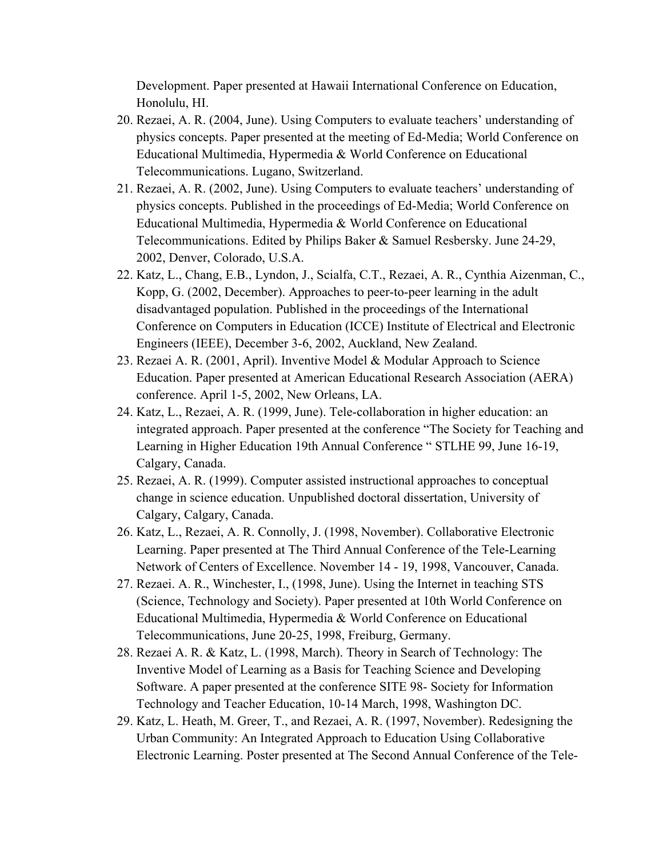Development. Paper presented at Hawaii International Conference on Education, Honolulu, HI.

- 20. Rezaei, A. R. (2004, June). Using Computers to evaluate teachers' understanding of physics concepts. Paper presented at the meeting of Ed-Media; World Conference on Educational Multimedia, Hypermedia & World Conference on Educational Telecommunications. Lugano, Switzerland.
- 21. Rezaei, A. R. (2002, June). Using Computers to evaluate teachers' understanding of physics concepts. Published in the proceedings of Ed-Media; World Conference on Educational Multimedia, Hypermedia & World Conference on Educational Telecommunications. Edited by Philips Baker & Samuel Resbersky. June 24-29, 2002, Denver, Colorado, U.S.A.
- 22. Katz, L., Chang, E.B., Lyndon, J., Scialfa, C.T., Rezaei, A. R., Cynthia Aizenman, C., Kopp, G. (2002, December). Approaches to peer-to-peer learning in the adult disadvantaged population. Published in the proceedings of the International Conference on Computers in Education (ICCE) Institute of Electrical and Electronic Engineers (IEEE), December 3-6, 2002, Auckland, New Zealand.
- 23. Rezaei A. R. (2001, April). Inventive Model & Modular Approach to Science Education. Paper presented at American Educational Research Association (AERA) conference. April 1-5, 2002, New Orleans, LA.
- 24. Katz, L., Rezaei, A. R. (1999, June). Tele-collaboration in higher education: an integrated approach. Paper presented at the conference "The Society for Teaching and Learning in Higher Education 19th Annual Conference " STLHE 99, June 16-19, Calgary, Canada.
- 25. Rezaei, A. R. (1999). Computer assisted instructional approaches to conceptual change in science education. Unpublished doctoral dissertation, University of Calgary, Calgary, Canada.
- 26. Katz, L., Rezaei, A. R. Connolly, J. (1998, November). Collaborative Electronic Learning. Paper presented at The Third Annual Conference of the Tele-Learning Network of Centers of Excellence. November 14 - 19, 1998, Vancouver, Canada.
- 27. Rezaei. A. R., Winchester, I., (1998, June). Using the Internet in teaching STS (Science, Technology and Society). Paper presented at 10th World Conference on Educational Multimedia, Hypermedia & World Conference on Educational Telecommunications, June 20-25, 1998, Freiburg, Germany.
- 28. Rezaei A. R. & Katz, L. (1998, March). Theory in Search of Technology: The Inventive Model of Learning as a Basis for Teaching Science and Developing Software. A paper presented at the conference SITE 98- Society for Information Technology and Teacher Education, 10-14 March, 1998, Washington DC.
- 29. Katz, L. Heath, M. Greer, T., and Rezaei, A. R. (1997, November). Redesigning the Urban Community: An Integrated Approach to Education Using Collaborative Electronic Learning. Poster presented at The Second Annual Conference of the Tele-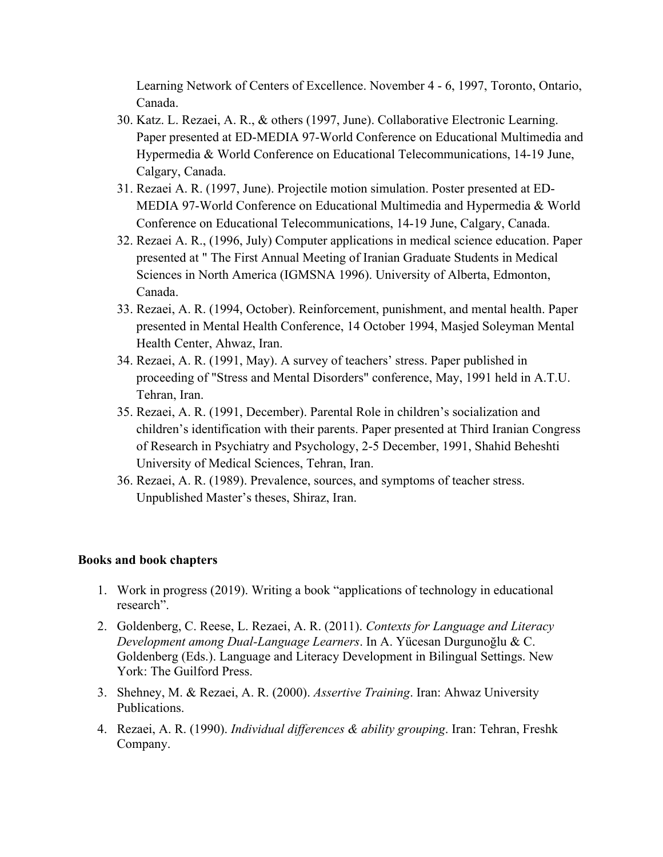Learning Network of Centers of Excellence. November 4 - 6, 1997, Toronto, Ontario, Canada.

- 30. Katz. L. Rezaei, A. R., & others (1997, June). Collaborative Electronic Learning. Paper presented at ED-MEDIA 97-World Conference on Educational Multimedia and Hypermedia & World Conference on Educational Telecommunications, 14-19 June, Calgary, Canada.
- 31. Rezaei A. R. (1997, June). Projectile motion simulation. Poster presented at ED-MEDIA 97-World Conference on Educational Multimedia and Hypermedia & World Conference on Educational Telecommunications, 14-19 June, Calgary, Canada.
- 32. Rezaei A. R., (1996, July) Computer applications in medical science education. Paper presented at " The First Annual Meeting of Iranian Graduate Students in Medical Sciences in North America (IGMSNA 1996). University of Alberta, Edmonton, Canada.
- 33. Rezaei, A. R. (1994, October). Reinforcement, punishment, and mental health. Paper presented in Mental Health Conference, 14 October 1994, Masjed Soleyman Mental Health Center, Ahwaz, Iran.
- 34. Rezaei, A. R. (1991, May). A survey of teachers' stress. Paper published in proceeding of "Stress and Mental Disorders" conference, May, 1991 held in A.T.U. Tehran, Iran.
- 35. Rezaei, A. R. (1991, December). Parental Role in children's socialization and children's identification with their parents. Paper presented at Third Iranian Congress of Research in Psychiatry and Psychology, 2-5 December, 1991, Shahid Beheshti University of Medical Sciences, Tehran, Iran.
- 36. Rezaei, A. R. (1989). Prevalence, sources, and symptoms of teacher stress. Unpublished Master's theses, Shiraz, Iran.

#### **Books and book chapters**

- 1. Work in progress (2019). Writing a book "applications of technology in educational research".
- 2. Goldenberg, C. Reese, L. Rezaei, A. R. (2011). *Contexts for Language and Literacy Development among Dual-Language Learners*. In A. Yücesan Durgunoğlu & C. Goldenberg (Eds.). Language and Literacy Development in Bilingual Settings. New York: The Guilford Press.
- 3. Shehney, M. & Rezaei, A. R. (2000). *Assertive Training*. Iran: Ahwaz University Publications.
- 4. Rezaei, A. R. (1990). *Individual differences & ability grouping*. Iran: Tehran, Freshk Company.